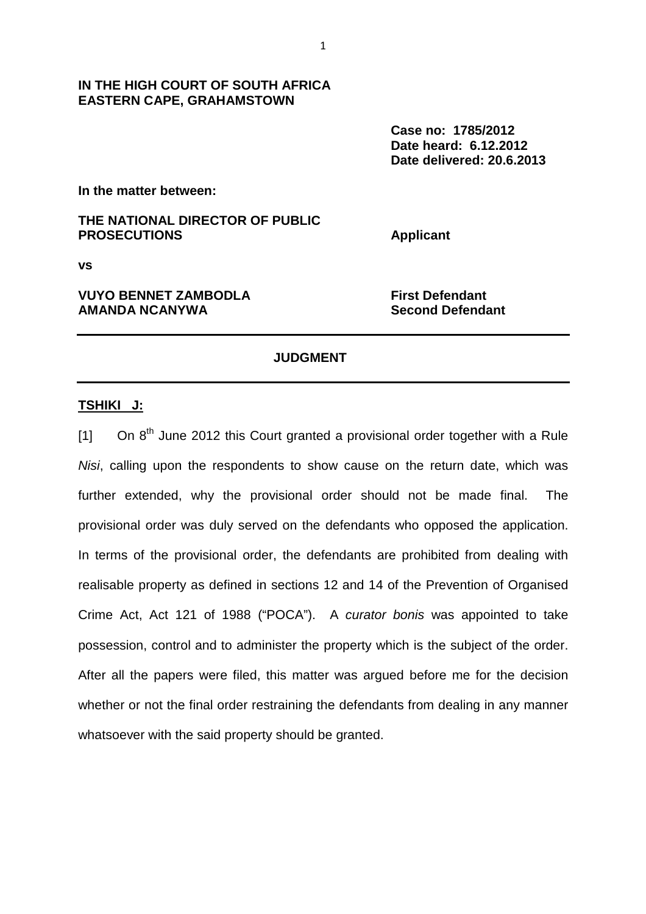**Case no: 1785/2012 Date heard: 6.12.2012 Date delivered: 20.6.2013** 

**In the matter between:** 

# **THE NATIONAL DIRECTOR OF PUBLIC PROSECUTIONS** Applicant

**EASTERN CAPE, GRAHAMSTOWN** 

**vs** 

# **VUYO BENNET ZAMBODLA** First Defendant **AMANDA NCANYWA Second Defendant**

### **JUDGMENT**

### **TSHIKI J:**

 $[1]$  On  $8<sup>th</sup>$  June 2012 this Court granted a provisional order together with a Rule Nisi, calling upon the respondents to show cause on the return date, which was further extended, why the provisional order should not be made final. The provisional order was duly served on the defendants who opposed the application. In terms of the provisional order, the defendants are prohibited from dealing with realisable property as defined in sections 12 and 14 of the Prevention of Organised Crime Act, Act 121 of 1988 ("POCA"). A curator bonis was appointed to take possession, control and to administer the property which is the subject of the order. After all the papers were filed, this matter was argued before me for the decision whether or not the final order restraining the defendants from dealing in any manner whatsoever with the said property should be granted.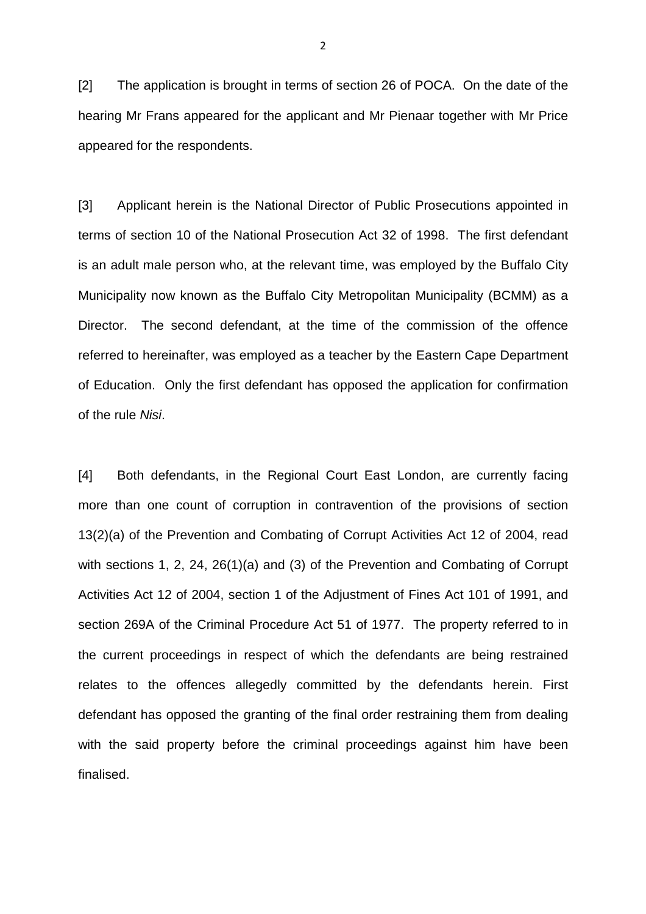[2] The application is brought in terms of section 26 of POCA. On the date of the hearing Mr Frans appeared for the applicant and Mr Pienaar together with Mr Price appeared for the respondents.

[3] Applicant herein is the National Director of Public Prosecutions appointed in terms of section 10 of the National Prosecution Act 32 of 1998. The first defendant is an adult male person who, at the relevant time, was employed by the Buffalo City Municipality now known as the Buffalo City Metropolitan Municipality (BCMM) as a Director. The second defendant, at the time of the commission of the offence referred to hereinafter, was employed as a teacher by the Eastern Cape Department of Education. Only the first defendant has opposed the application for confirmation of the rule Nisi.

[4] Both defendants, in the Regional Court East London, are currently facing more than one count of corruption in contravention of the provisions of section 13(2)(a) of the Prevention and Combating of Corrupt Activities Act 12 of 2004, read with sections 1, 2, 24, 26(1)(a) and (3) of the Prevention and Combating of Corrupt Activities Act 12 of 2004, section 1 of the Adjustment of Fines Act 101 of 1991, and section 269A of the Criminal Procedure Act 51 of 1977. The property referred to in the current proceedings in respect of which the defendants are being restrained relates to the offences allegedly committed by the defendants herein. First defendant has opposed the granting of the final order restraining them from dealing with the said property before the criminal proceedings against him have been finalised.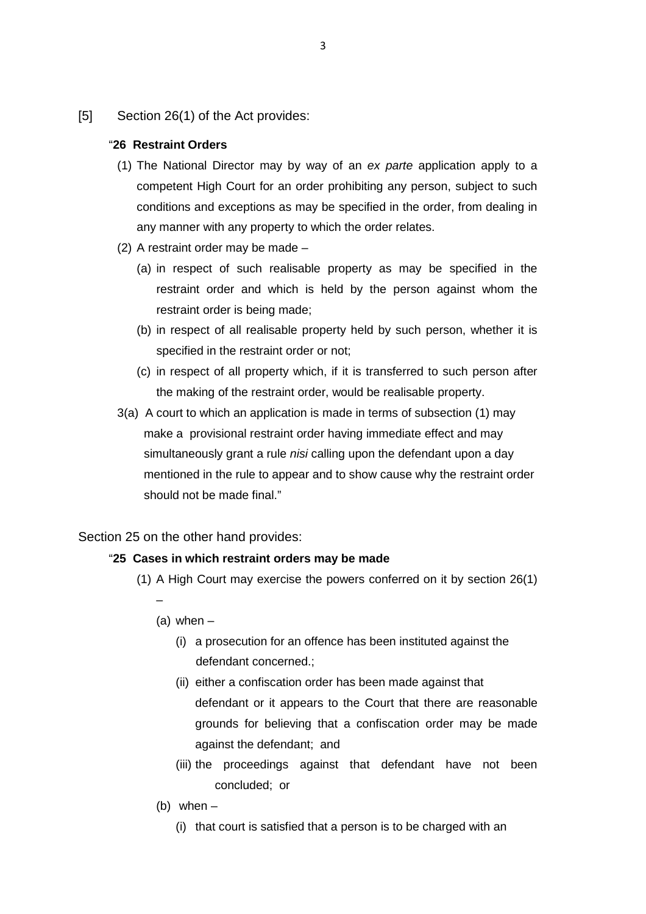[5] Section 26(1) of the Act provides:

#### "**26 Restraint Orders**

- (1) The National Director may by way of an ex parte application apply to a competent High Court for an order prohibiting any person, subject to such conditions and exceptions as may be specified in the order, from dealing in any manner with any property to which the order relates.
- (2) A restraint order may be made
	- (a) in respect of such realisable property as may be specified in the restraint order and which is held by the person against whom the restraint order is being made;
	- (b) in respect of all realisable property held by such person, whether it is specified in the restraint order or not;
	- (c) in respect of all property which, if it is transferred to such person after the making of the restraint order, would be realisable property.
- 3(a) A court to which an application is made in terms of subsection (1) may make a provisional restraint order having immediate effect and may simultaneously grant a rule *nisi* calling upon the defendant upon a day mentioned in the rule to appear and to show cause why the restraint order should not be made final."

Section 25 on the other hand provides:

#### "**25 Cases in which restraint orders may be made**

- (1) A High Court may exercise the powers conferred on it by section 26(1) –
	- $(a)$  when  $-$ 
		- (i) a prosecution for an offence has been instituted against the defendant concerned.;
		- (ii) either a confiscation order has been made against that defendant or it appears to the Court that there are reasonable grounds for believing that a confiscation order may be made against the defendant; and
		- (iii) the proceedings against that defendant have not been concluded; or
	- (b) when
		- (i) that court is satisfied that a person is to be charged with an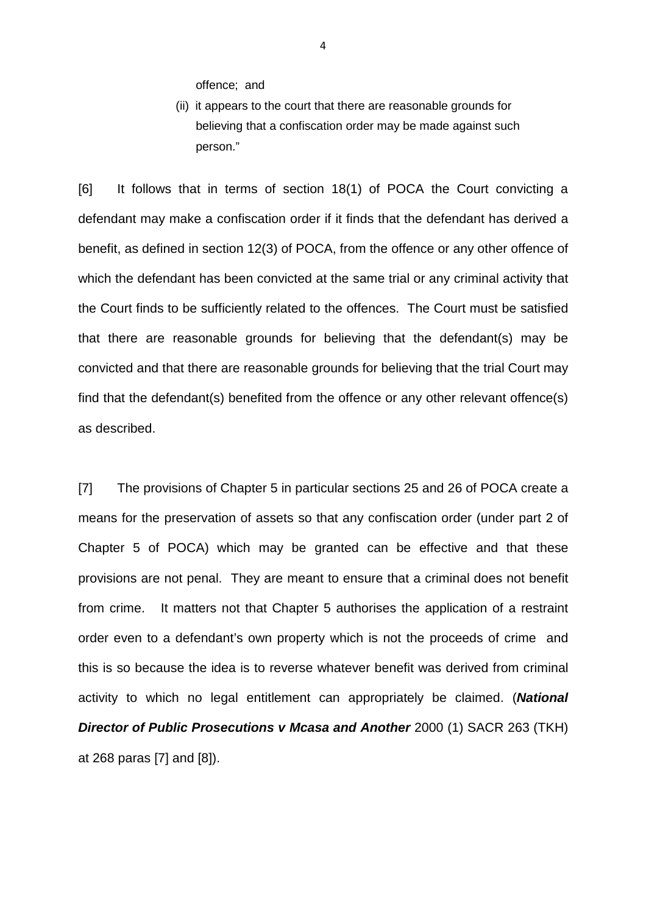offence; and

(ii) it appears to the court that there are reasonable grounds for believing that a confiscation order may be made against such person."

[6] It follows that in terms of section 18(1) of POCA the Court convicting a defendant may make a confiscation order if it finds that the defendant has derived a benefit, as defined in section 12(3) of POCA, from the offence or any other offence of which the defendant has been convicted at the same trial or any criminal activity that the Court finds to be sufficiently related to the offences. The Court must be satisfied that there are reasonable grounds for believing that the defendant(s) may be convicted and that there are reasonable grounds for believing that the trial Court may find that the defendant(s) benefited from the offence or any other relevant offence(s) as described.

[7] The provisions of Chapter 5 in particular sections 25 and 26 of POCA create a means for the preservation of assets so that any confiscation order (under part 2 of Chapter 5 of POCA) which may be granted can be effective and that these provisions are not penal. They are meant to ensure that a criminal does not benefit from crime. It matters not that Chapter 5 authorises the application of a restraint order even to a defendant's own property which is not the proceeds of crime and this is so because the idea is to reverse whatever benefit was derived from criminal activity to which no legal entitlement can appropriately be claimed. (**National Director of Public Prosecutions v Mcasa and Another** 2000 (1) SACR 263 (TKH) at 268 paras [7] and [8]).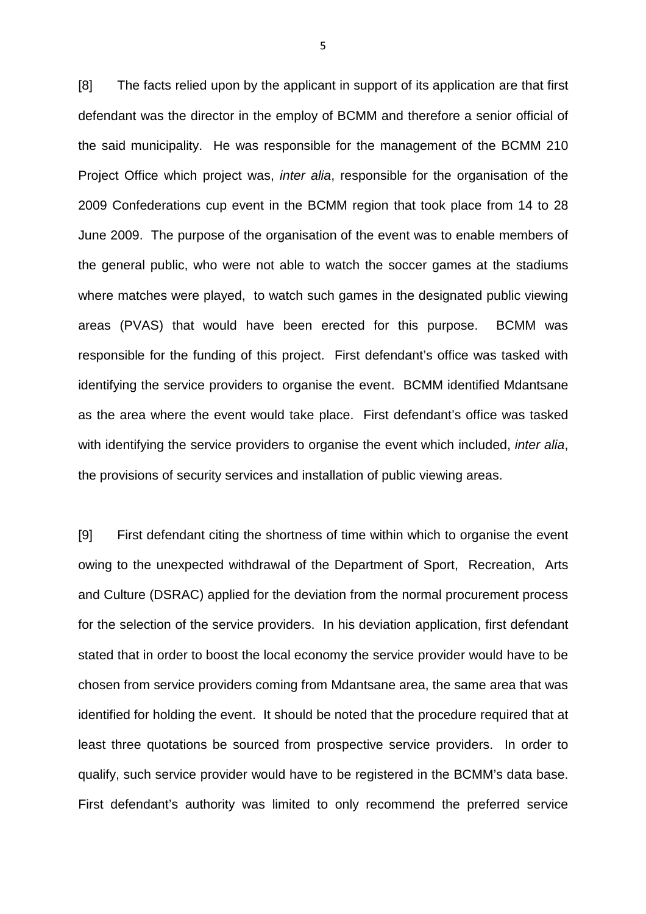[8] The facts relied upon by the applicant in support of its application are that first defendant was the director in the employ of BCMM and therefore a senior official of the said municipality. He was responsible for the management of the BCMM 210 Project Office which project was, inter alia, responsible for the organisation of the 2009 Confederations cup event in the BCMM region that took place from 14 to 28 June 2009. The purpose of the organisation of the event was to enable members of the general public, who were not able to watch the soccer games at the stadiums where matches were played, to watch such games in the designated public viewing areas (PVAS) that would have been erected for this purpose. BCMM was responsible for the funding of this project. First defendant's office was tasked with identifying the service providers to organise the event. BCMM identified Mdantsane as the area where the event would take place. First defendant's office was tasked with identifying the service providers to organise the event which included, *inter alia*, the provisions of security services and installation of public viewing areas.

[9] First defendant citing the shortness of time within which to organise the event owing to the unexpected withdrawal of the Department of Sport, Recreation, Arts and Culture (DSRAC) applied for the deviation from the normal procurement process for the selection of the service providers. In his deviation application, first defendant stated that in order to boost the local economy the service provider would have to be chosen from service providers coming from Mdantsane area, the same area that was identified for holding the event. It should be noted that the procedure required that at least three quotations be sourced from prospective service providers. In order to qualify, such service provider would have to be registered in the BCMM's data base. First defendant's authority was limited to only recommend the preferred service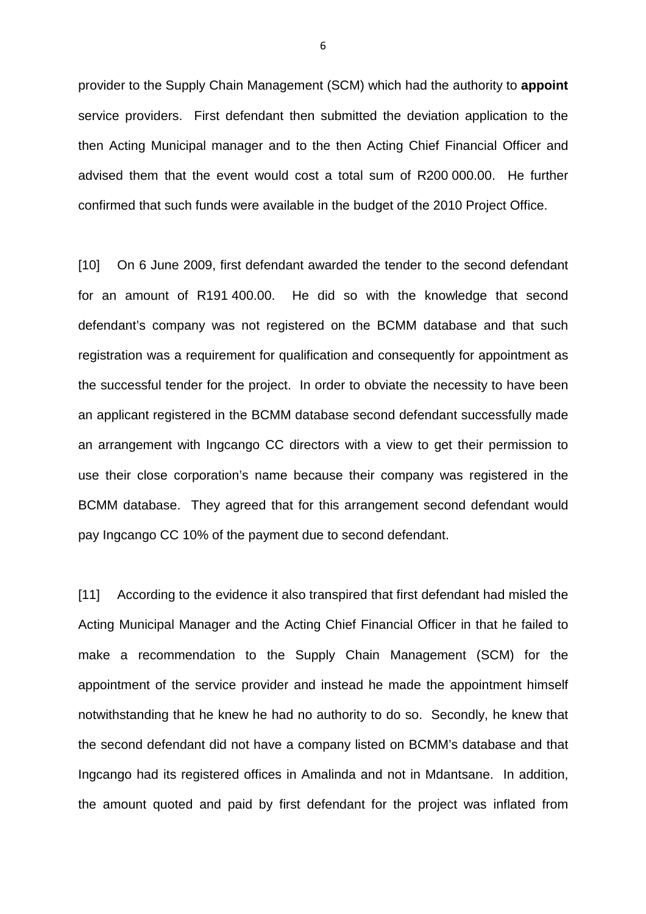provider to the Supply Chain Management (SCM) which had the authority to **appoint** service providers. First defendant then submitted the deviation application to the then Acting Municipal manager and to the then Acting Chief Financial Officer and advised them that the event would cost a total sum of R200 000.00. He further confirmed that such funds were available in the budget of the 2010 Project Office.

[10] On 6 June 2009, first defendant awarded the tender to the second defendant for an amount of R191 400.00. He did so with the knowledge that second defendant's company was not registered on the BCMM database and that such registration was a requirement for qualification and consequently for appointment as the successful tender for the project. In order to obviate the necessity to have been an applicant registered in the BCMM database second defendant successfully made an arrangement with Ingcango CC directors with a view to get their permission to use their close corporation's name because their company was registered in the BCMM database. They agreed that for this arrangement second defendant would pay Ingcango CC 10% of the payment due to second defendant.

[11] According to the evidence it also transpired that first defendant had misled the Acting Municipal Manager and the Acting Chief Financial Officer in that he failed to make a recommendation to the Supply Chain Management (SCM) for the appointment of the service provider and instead he made the appointment himself notwithstanding that he knew he had no authority to do so. Secondly, he knew that the second defendant did not have a company listed on BCMM's database and that Ingcango had its registered offices in Amalinda and not in Mdantsane. In addition, the amount quoted and paid by first defendant for the project was inflated from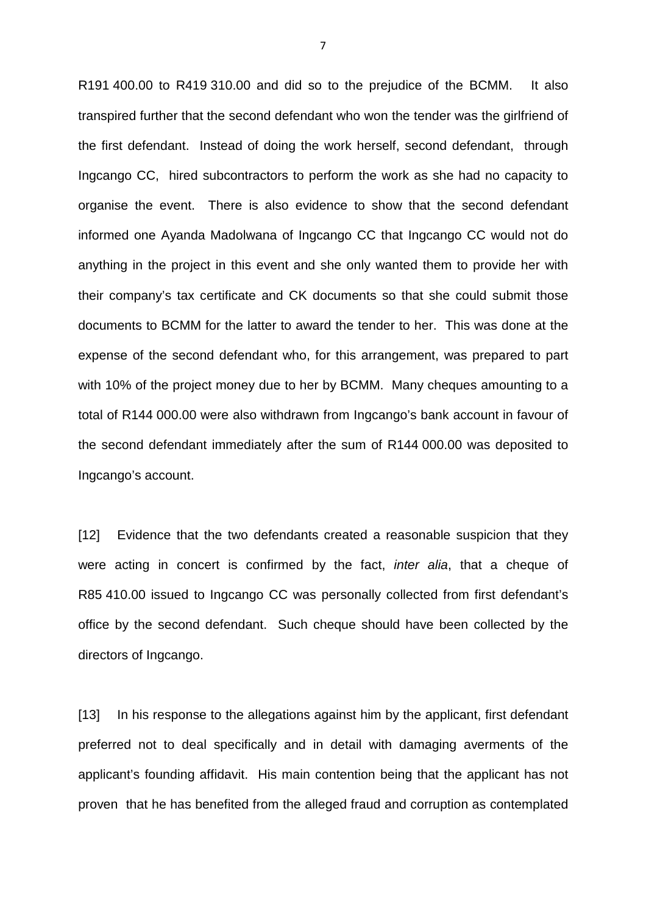R191 400.00 to R419 310.00 and did so to the prejudice of the BCMM. It also transpired further that the second defendant who won the tender was the girlfriend of the first defendant. Instead of doing the work herself, second defendant, through Ingcango CC, hired subcontractors to perform the work as she had no capacity to organise the event. There is also evidence to show that the second defendant informed one Ayanda Madolwana of Ingcango CC that Ingcango CC would not do anything in the project in this event and she only wanted them to provide her with their company's tax certificate and CK documents so that she could submit those documents to BCMM for the latter to award the tender to her. This was done at the expense of the second defendant who, for this arrangement, was prepared to part with 10% of the project money due to her by BCMM. Many cheques amounting to a total of R144 000.00 were also withdrawn from Ingcango's bank account in favour of the second defendant immediately after the sum of R144 000.00 was deposited to Ingcango's account.

[12] Evidence that the two defendants created a reasonable suspicion that they were acting in concert is confirmed by the fact, inter alia, that a cheque of R85 410.00 issued to Ingcango CC was personally collected from first defendant's office by the second defendant. Such cheque should have been collected by the directors of Ingcango.

[13] In his response to the allegations against him by the applicant, first defendant preferred not to deal specifically and in detail with damaging averments of the applicant's founding affidavit. His main contention being that the applicant has not proven that he has benefited from the alleged fraud and corruption as contemplated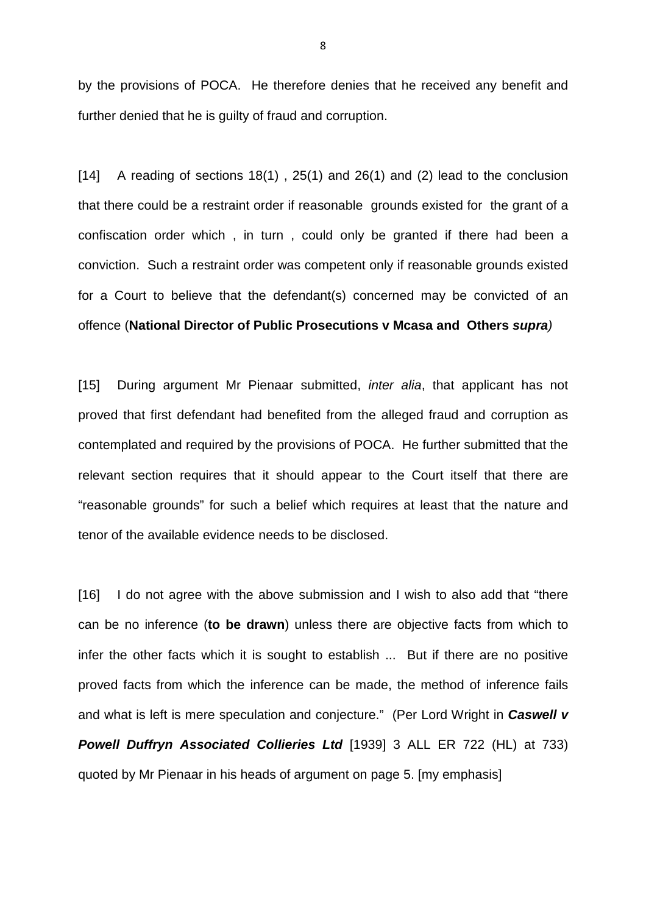by the provisions of POCA. He therefore denies that he received any benefit and further denied that he is guilty of fraud and corruption.

 $[14]$  A reading of sections 18(1), 25(1) and 26(1) and (2) lead to the conclusion that there could be a restraint order if reasonable grounds existed for the grant of a confiscation order which , in turn , could only be granted if there had been a conviction. Such a restraint order was competent only if reasonable grounds existed for a Court to believe that the defendant(s) concerned may be convicted of an offence (**National Director of Public Prosecutions v Mcasa and Others supra**)

[15] During argument Mr Pienaar submitted, *inter alia*, that applicant has not proved that first defendant had benefited from the alleged fraud and corruption as contemplated and required by the provisions of POCA. He further submitted that the relevant section requires that it should appear to the Court itself that there are "reasonable grounds" for such a belief which requires at least that the nature and tenor of the available evidence needs to be disclosed.

[16] I do not agree with the above submission and I wish to also add that "there" can be no inference (**to be drawn**) unless there are objective facts from which to infer the other facts which it is sought to establish ... But if there are no positive proved facts from which the inference can be made, the method of inference fails and what is left is mere speculation and conjecture." (Per Lord Wright in **Caswell v Powell Duffryn Associated Collieries Ltd** [1939] 3 ALL ER 722 (HL) at 733) quoted by Mr Pienaar in his heads of argument on page 5. [my emphasis]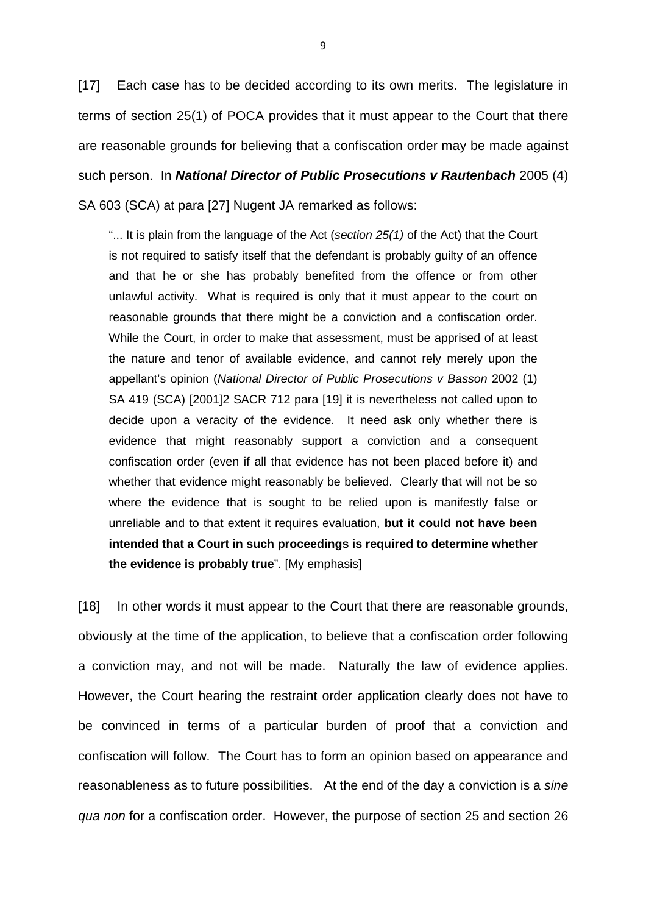[17] Each case has to be decided according to its own merits. The legislature in terms of section 25(1) of POCA provides that it must appear to the Court that there are reasonable grounds for believing that a confiscation order may be made against such person. In **National Director of Public Prosecutions v Rautenbach** 2005 (4) SA 603 (SCA) at para [27] Nugent JA remarked as follows:

"... It is plain from the language of the Act (section  $25(1)$  of the Act) that the Court is not required to satisfy itself that the defendant is probably guilty of an offence and that he or she has probably benefited from the offence or from other unlawful activity. What is required is only that it must appear to the court on reasonable grounds that there might be a conviction and a confiscation order. While the Court, in order to make that assessment, must be apprised of at least the nature and tenor of available evidence, and cannot rely merely upon the appellant's opinion (National Director of Public Prosecutions v Basson 2002 (1) SA 419 (SCA) [2001]2 SACR 712 para [19] it is nevertheless not called upon to decide upon a veracity of the evidence. It need ask only whether there is evidence that might reasonably support a conviction and a consequent confiscation order (even if all that evidence has not been placed before it) and whether that evidence might reasonably be believed. Clearly that will not be so where the evidence that is sought to be relied upon is manifestly false or unreliable and to that extent it requires evaluation, **but it could not have been intended that a Court in such proceedings is required to determine whether the evidence is probably true**". [My emphasis]

[18] In other words it must appear to the Court that there are reasonable grounds, obviously at the time of the application, to believe that a confiscation order following a conviction may, and not will be made. Naturally the law of evidence applies. However, the Court hearing the restraint order application clearly does not have to be convinced in terms of a particular burden of proof that a conviction and confiscation will follow. The Court has to form an opinion based on appearance and reasonableness as to future possibilities. At the end of the day a conviction is a sine qua non for a confiscation order. However, the purpose of section 25 and section 26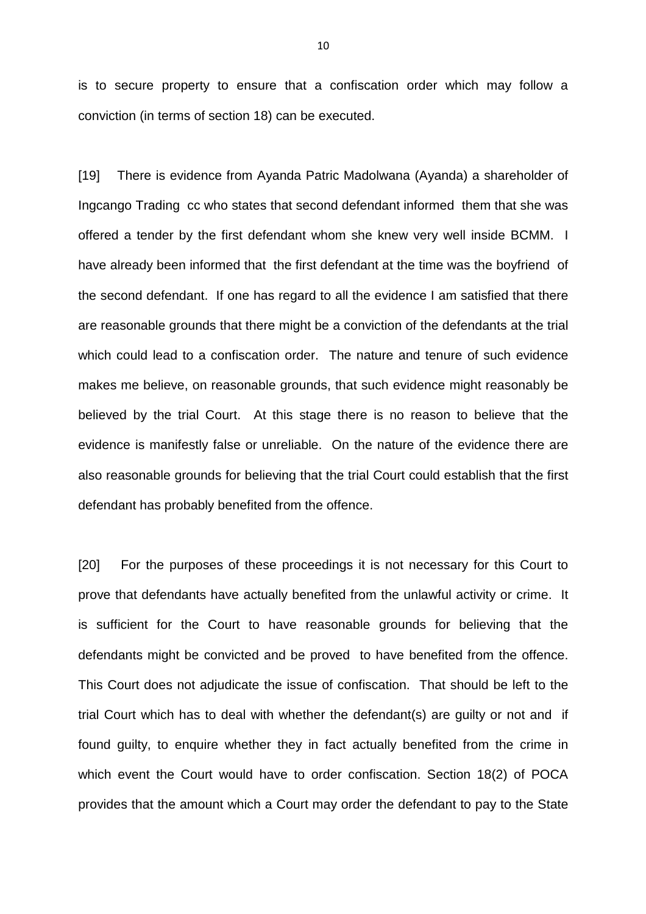is to secure property to ensure that a confiscation order which may follow a conviction (in terms of section 18) can be executed.

[19] There is evidence from Ayanda Patric Madolwana (Ayanda) a shareholder of Ingcango Trading cc who states that second defendant informed them that she was offered a tender by the first defendant whom she knew very well inside BCMM. I have already been informed that the first defendant at the time was the boyfriend of the second defendant. If one has regard to all the evidence I am satisfied that there are reasonable grounds that there might be a conviction of the defendants at the trial which could lead to a confiscation order. The nature and tenure of such evidence makes me believe, on reasonable grounds, that such evidence might reasonably be believed by the trial Court. At this stage there is no reason to believe that the evidence is manifestly false or unreliable. On the nature of the evidence there are also reasonable grounds for believing that the trial Court could establish that the first defendant has probably benefited from the offence.

[20] For the purposes of these proceedings it is not necessary for this Court to prove that defendants have actually benefited from the unlawful activity or crime. It is sufficient for the Court to have reasonable grounds for believing that the defendants might be convicted and be proved to have benefited from the offence. This Court does not adjudicate the issue of confiscation. That should be left to the trial Court which has to deal with whether the defendant(s) are guilty or not and if found guilty, to enquire whether they in fact actually benefited from the crime in which event the Court would have to order confiscation. Section 18(2) of POCA provides that the amount which a Court may order the defendant to pay to the State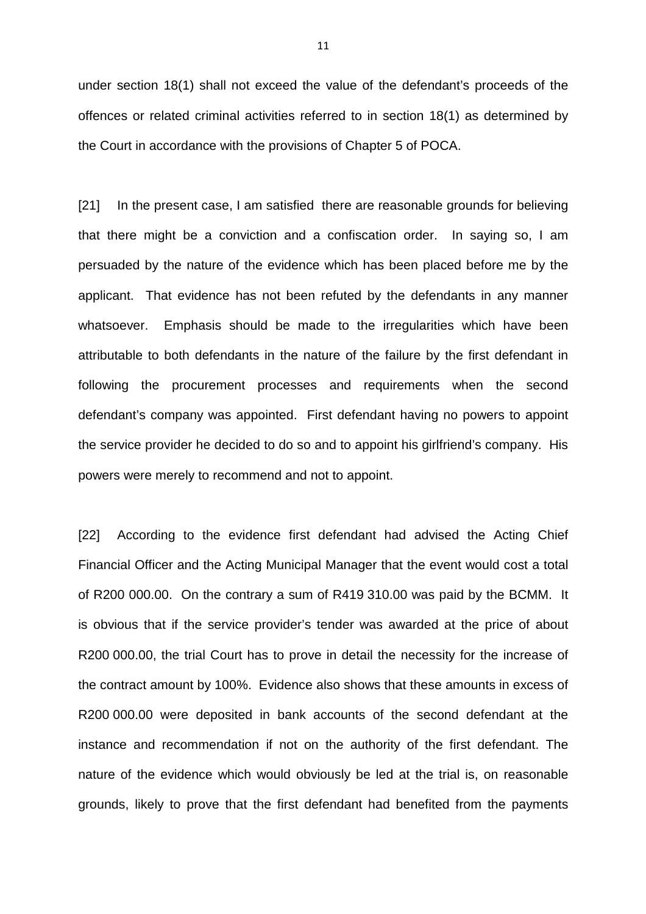under section 18(1) shall not exceed the value of the defendant's proceeds of the offences or related criminal activities referred to in section 18(1) as determined by the Court in accordance with the provisions of Chapter 5 of POCA.

[21] In the present case, I am satisfied there are reasonable grounds for believing that there might be a conviction and a confiscation order. In saying so, I am persuaded by the nature of the evidence which has been placed before me by the applicant. That evidence has not been refuted by the defendants in any manner whatsoever. Emphasis should be made to the irregularities which have been attributable to both defendants in the nature of the failure by the first defendant in following the procurement processes and requirements when the second defendant's company was appointed. First defendant having no powers to appoint the service provider he decided to do so and to appoint his girlfriend's company. His powers were merely to recommend and not to appoint.

[22] According to the evidence first defendant had advised the Acting Chief Financial Officer and the Acting Municipal Manager that the event would cost a total of R200 000.00. On the contrary a sum of R419 310.00 was paid by the BCMM. It is obvious that if the service provider's tender was awarded at the price of about R200 000.00, the trial Court has to prove in detail the necessity for the increase of the contract amount by 100%. Evidence also shows that these amounts in excess of R200 000.00 were deposited in bank accounts of the second defendant at the instance and recommendation if not on the authority of the first defendant. The nature of the evidence which would obviously be led at the trial is, on reasonable grounds, likely to prove that the first defendant had benefited from the payments